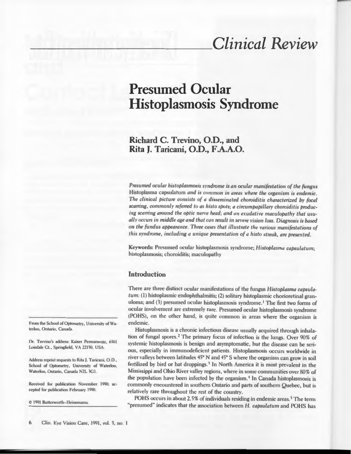# **Clinical Review**

## **Presumed Ocular Histoplasmosis Syndrome**

## Richard C. Trevino, O.D., and Rita I. Taricani, O.D., F.A.A.O.

Presumed ocular histoplasmosis syndrome is an ocular manifestation of the fungus Histoplasma capsulatum and is common in areas where the organism is endemic. The clinical picture consists of a disseminated choroiditis characterized by focal scarring, commonly referred to as histo spots; a circumpapillary choroiditis producing scarring around the optic nerve head; and an exudative maculopathy that usually occurs in middle age and that can result in severe vision loss. Diagnosis is based on the fundus appearance. Three cases that illustrate the various manifestations of this syndrome, including a unique presentation of a histo streak, are presented.

Keywords: Presumed ocular histoplasmosis syndrome; Histoplasma capsulatum; histoplasmosis; choroiditis; maculopathy

## **Introduction**

There are three distinct ocular manifestations of the fungus Histoplasma capsulatum: (1) histoplasmic endophthalmitis; (2) solitary histoplasmic chorioretinal granuloma; and (3) presumed ocular histoplasmosis syndrome.<sup>1</sup> The first two forms of ocular involvement arc extremely rare. Presumed ocular histoplasmosis syndrome (POHS), on the other hand, is quite common in areas where the organism is endemic.

Histoplasmosis is a chronic infectious disease usually acquired through inhalation of fungal spores.<sup>2</sup> The primary focus of infection is the lungs. Over 90% of systemic histoplasmosis is benign and asymptomatic, but the disease can be serious, especially in immunodeficient patients. Histoplasmosis occurs worldwide in river valleys between latitudes 45° N and 45° S where the organism can grow in soil fertilized by bird or bat droppings.<sup>3</sup> In North America it is most prevalent in the Mississippi and Ohio River valley regions, where in some communities over 80% of the population have been infected by the organism.<sup>4</sup> In Canada histoplasmosis is commonly encountered in southern Ontario and parts of southern Quebec, but is relatively rare throughout the rest of the country.

POHS occurs in about 2.5% of individuals residing in endemic areas.<sup>5</sup> The term "presumed" indicates that the association between H. capsulatum and POHS has

From the School of Optometry, University of Waterloo, Ontario, Canada.

Dr. Trevino's address: Kaiser Permanente, 6501 Loisdale Ct., Springfield, VA 22150, USA.

Address reprint requests to Rita J. Taricani, O.D., School of Optometry, University of Waterloo, Waterloo, Ontario, Canada N2L 3G1.

Received for publication November 1990; accepted for publication February 1990.

C 1991 Butterworth-Heinemann.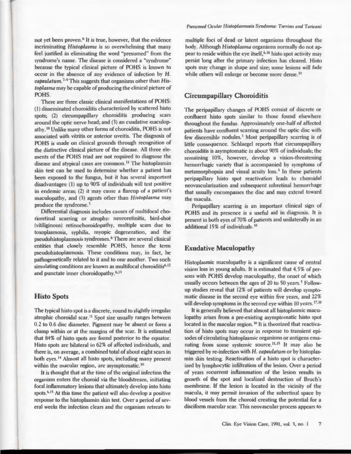not vet been proven.<sup>6</sup> It is true, however, that the evidence incriminating Histoplasma is so overwhelming that many feel justified in eliminating the word "presumed" from the syndrome's name. The disease is considered a "syndrome" because the typical clinical picture of POHS is known to occur in the absence of any evidence of infection by H. capsulatum.<sup>7-9</sup> This suggests that organisms other than  $His$ toplasma may be capable of producing the clinical picture of POHS.

There are three classic clinical manifestations of POHS: (1) disseminated choroiditis characterized by scattered histo spots: (2) circumpapillary choroiditis producing scars around the optic nerve head; and (3) an exudative maculopathy.<sup>10</sup> Unlike many other forms of choroiditis, POHS is not associated with vitritis or anterior uveitis. The diagnosis of POHS is made on clinical grounds through recognition of the distinctive clinical picture of the disease. All three elements of the POHS triad are not required to diagnose the disease and atypical cases are common.<sup>11</sup> The histoplasmin skin test can be used to determine whether a patient has been exposed to the fungus, but it has several important disadvantages: (1) up to 90% of individuals will test positive in endemic areas: (2) it may cause a flareup of a patient's maculopathy, and (3) agents other than Histoplasma may produce the syndrome.<sup>3</sup>

Differential diagnosis includes causes of multifocal chorioretinal scarring or atrophy: neuroretinitis, bird-shot (vitiliginous) retinochoroidopathy, multiple scars due to toxoplasmosis, syphilis, myopic degeneration, and the pseudohistoplasmosis syndromes.<sup>6</sup> There are several clinical entities that closely resemble POHS, hence the term pseudohistoplasmosis. These conditions may, in fact, be pathogenetically related to it and to one another. Two such simulating conditions are known as multifocal choroiditis<sup>6,12</sup> and punctate inner choroidopathy.<sup>6,13</sup>

## **Histo Spots**

The typical histo spot is a discrete, round to slightly irregular atrophic choroidal scar.<sup>11</sup> Spot size usually ranges between 0.2 to 0.6 disc diameter. Pigment may be absent or form a clump within or at the margins of the scar. It is estimated that 84% of histo spots are found posterior to the equator. Histo spots are bilateral in 62% of affected individuals, and there is, on average, a combined total of about eight scars in both eyes.<sup>14</sup> Almost all histo spots, including many present within the macular region, are asymptomatic.<sup>10</sup>

It is thought that at the time of the original infection the organism enters the choroid via the bloodstream, initiating focal inflammatory lesions that ultimately develop into histo spots.<sup>6,15</sup> At this time the patient will also develop a positive response to the histoplasmin skin test. Over a period of several weeks the infection clears and the organism retreats to Presumed Ocular Histoplasmosis Syndrome: Trevino and Taricani

multiple foci of dead or latent organisms throughout the body. Although Histoplasma organisms normally do not appear to reside within the eve itself.<sup>6,16</sup> histo spot activity may persist long after the primary infection has cleared. Histo spots may change in shape and size; some lesions will fade while others will enlarge or become more dense.<sup>10</sup>

## **Circumpapillary Choroiditis**

The peripapillary changes of POHS consist of discrete or confluent histo spots similar to those found elsewhere throughout the fundus. Approximately one-half of affected patients have confluent scarring around the optic disc with few discernible nodules.<sup>3</sup> Most peripapillary scarring is of little consequence. Schlaegel reports that circumpapillary choroiditis is asymptomatic in about 90% of individuals; the remaining 10%, however, develop a vision-threatening hemorrhagic variety that is accompanied by symptoms of metamorphopsia and visual acuity loss.<sup>3</sup> In these patients peripapillary histo spot reactivation leads to choroidal neovascularization and subsequent subretinal hemorrhage that usually encompasses the disc and may extend toward the macula.

Peripapillary scarring is an important clinical sign of POHS and its presence is a useful aid in diagnosis. It is present in both eves of 70% of patients and unilaterally in an additional 15% of individuals.<sup>10</sup>

## **Exudative Maculopathy**

Histoplasmic maculopathy is a significant cause of central vision loss in young adults. It is estimated that 4.5% of persons with POHS develop maculopathy, the onset of which usually occurs between the ages of 20 to 50 years.<sup>5</sup> Followup studies reveal that 12% of patients will develop symptomatic disease in the second eye within five years, and 22% will develop symptoms in the second eye within 10 years.<sup>17,18</sup>

It is generally believed that almost all histoplasmic maculopathy arises from a pre-existing asymptomatic histo spot located in the macular region.<sup>10</sup> It is theorized that reactivation of histo spots may occur in response to transient episodes of circulating histoplasmic organisms or antigens emanating from some systemic source.<sup>11,15</sup> It may also be triggered by re-infection with H. capsulatum or by histoplasmin skin testing. Reactivation of a histo spot is characterized by lymphocytic infiltration of the lesion. Over a period of years recurrent inflammation of the lesion results in growth of the spot and localized destruction of Bruch's membrane. If the lesion is located in the vicinity of the macula, it may permit invasion of the subretinal space by blood vessels from the choroid creating the potential for a disciform macular scar. This neovascular process appears to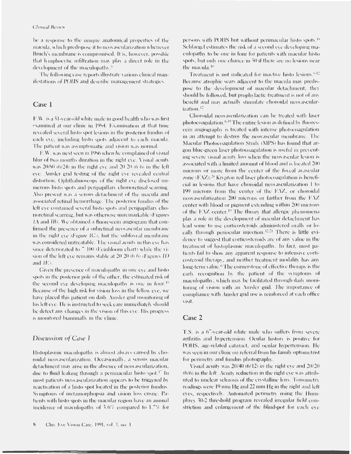#### **Clinical Review**

be a response to the unique anatomical properties of the macula, which predispose it to neovascularization whenever Bruch's membrane is compromised. It is, however, possible that lymphocytic infiltration may play a direct role in the development of the maculopathy.<sup>6</sup>

The following case reports illustrate various clinical manifestations of POHS and describe management strategies.

#### Case 1

F.W. is a 51-year-old white male in good health who was first examined at our clinic in 1984. Examination at that time revealed several histo spot lesions in the posterior fundus of each eve, including histo spots adjacent to each macula. The patient was asymptomatic and vision was normal.

F.W. was next seen in 1986 when he complained of visual blur of two months duration in the right eve. Visual acuity was 20/80 (6/24) in the right eve and 20-20 (6.6) in the left eve. Amsler grid testing of the right eve revealed central distortion. Ophthalmoscopy of the right eve disclosed numerous histo spots and peripapillary chorioretinal scarring. Also present was a serous detachment of the macula and associated retinal hemorrhage. The posterior fundus of the left eve contained several histo spots and peripapillary chorioretinal scarring, but was otherwise unremarkable (Figures IA and IB). We obtained a fluorescein angiogram that confirmed the presence of a subretinal neovascular membrane in the right eve (Figure  $IC$ ), but the subfoveal membrane was considered untreatable. The visual acuity in this eve has since deteriorated to 7 100 (Feinbloom chart) while the vision of the left eve remains stable at 20-20 (6.6) (Figures II) and  $IE$ ).

Given the presence of maculopathy in one eve and histospots in the posterior pole of the other, the estimated risk of the second eve developing maculopathy is one in four.<sup>10</sup> Because of the high risk for vision loss in the fellow eye, we have placed this patient on daily Amsler grid monitoring of his left eve. He is instructed to seek care immediately should he detect any changes in the vision of this eve. His progress is monitored biannually in the clinic

#### Discussion of Case 1

Histoplasmic maculopathy is almost always caused by choroidal neovascularization. Occasionally, a serous macular detachment may arise in the absence of neovascularization, due to fluid leaking through a perimacular histo spot.<sup>17</sup> In most patients neovascularization appears to be triggered by reactivation of a histo spot located in the posterior fundus. Symptoms of metamorphopsia and vision loss ensue. Patients with histo spots in the macular region have an annual incidence of maculopathy of 3.6% compared to 1.7% for persons with POHS but without perimacular histo spots.<sup>15</sup> Schlaegel estimates the risk of a second eve developing maculopathy to be one in four for patients with macular histospots, but only one chance in 50 if there are no lesions near the macula.<sup>10</sup>

Treatment is not indicated for inactive histo lesions.<sup>6,12</sup> Because atrophic scars adjacent to the macula may predispose to the development of macular detachment, they should be followed, but prophylactic treatment is not of any benefit and may actually stimulate choroidal neovascularization.<sup>12</sup>

Choroidal neovascularization can be treated with laser photocoagulation.<sup>6,19</sup> The entire lesion as defined by fluorescein angiography is treated with intense photocoagulation in an attempt to destroy the neovascular membrane. The Macular Photocoagulation Study (MPS) has found that argon blue-green laser photocoagulation is useful in preventing severe visual acuity loss when the neovascular lesion is associated with a limited amount of blood and is located 200 microns or more from the center of the foveal avascular zone ( $FXZ$ ).<sup>20</sup> Krypton red laser photocoagulation is beneficial in lesions that have choroidal neovascularization 1 to 199 microns from the center of the EAZ, or choroidal neovascularization 200 microns or farther from the FAZ center with blood or pigment extending within 200 microns of the EAZ center.<sup>19</sup> The theory that allergic phenomena play a role in the development of macular detachment has lead some to use corticosteroids administered orally or locally through periocular injection.<sup>12,21</sup> There is little evidence to suggest that corticosteroids are of any value in the treatment of histoplasmic maculopathy. In fact, most patients fail to show any apparent response to intensive corticosteroid therapy, and neither treatment modality has any long-term value.<sup>6</sup> The cornerstone of effective therapy is the early recognition by the patient of the symptoms of maculopathy, which may be facilitated through daily monitoring of vision with an Amsler grid. The importance of compliance with Amsler grid use is reinforced at each office visit.

## Case 2

T.S. is a 67-year-old white male who suffers from severe arthritis and hypertension. Ocular history is positive for POHS, age-related cataract, and ocular hypertension. He was seen in our clinic on referral from his family optometrist for perimetry and fundus photography.

Visual acuity was 20/40 (6/12) in the right eye and 20/20 (6/6) in the left. Acuity reduction in the right eve was attributed to nuclear selerosis of the crystalline lens. Tonometry readings were 19 mm Hg and 22 mm Hg in the right and left eves, respectively. Automated perimetry using the Humphrey 30-2 threshold program revealed irregular field constriction and enlargement of the blindspot for each eve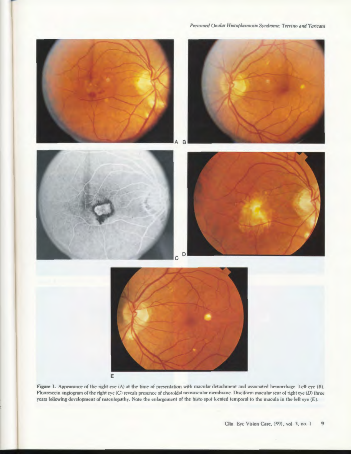

Figure 1. Appearance of the right eye (A) at the time of presentation with macular detachment and associated hemorrhage. Left eye (B). Fluorescein angiogram of the right eye (C) reveals presence of choroidal neovascular membrane. Disciform macular scar of right eye (D) three years following development of maculopathy. Note the enlargement of the histo spot located temporal to the macula in the left eye (E).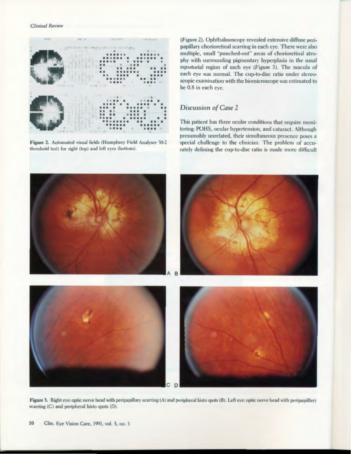

Figure 2. Automated visual fields (Humphrey Field Analyser 30-2 threshold test) for right (top) and left eyes (bottom).

(Figure 2). Ophthalmoscopy revealed extensive diffuse peripapillary chorioretinal scarring in each eye. There were also multiple, small "punched-out" areas of chorioretinal atrophy with surrounding pigmentary hyperplasia in the nasal equatorial region of each eye (Figure 3). The macula of each eye was normal. The cup-to-disc ratio under stereoscopic examination with the biomicroscope was estimated to be 0.8 in each eye.

## Discussion of Case 2

This patient has three ocular conditions that require monitoring: POHS, ocular hypertension, and cataract. Although presumably unrelated, their simultaneous presence poses a special challenge to the clinician. The problem of accurately defining the cup-to-disc ratio is made more difficult



Figure 3. Right eye: optic nerve head with peripapillary scarring (A) and peripheral histo spots (B). Left eye: optic nerve head with peripapillary scarring (C) and peripheral histo spots (D).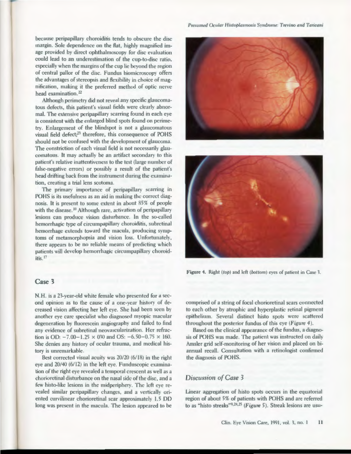because peripapillary choroiditis tends to obscure the disc margin. Sole dependence on the flat, highly magnified image provided by direct ophthalmoscopy for disc evaluation could lead to an underestimation of the cup-to-disc ratio, especially when the margins of the cup lie beyond the region of central pallor of the disc. Fundus biomicroscopy offers the advantages of stereopsis and flexibility in choice of magnification, making it the preferred method of optic nerve head examination.<sup>22</sup>

Although perimetry did not reveal any specific glaucomatous defects, this patient's visual fields were clearly abnormal. The extensive peripapillary scarring found in each eye is consistent with the enlarged blind spots found on perimetry. Enlargement of the blindspot is not a glaucomatous visual field defect;<sup>23</sup> therefore, this consequence of POHS should not be confused with the development of glaucoma. The constriction of each visual field is not necessarily glaucomatous. It may actually be an artifact secondary to this patient's relative inattentiveness to the test (large number of false-negative errors) or possibly a result of the patient's head drifting back from the instrument during the examination, creating a trial lens scotoma.

The primary importance of peripapillary scarring in POHS is its usefulness as an aid in making the correct diagnosis. It is present to some extent in about 85% of people with the disease.<sup>10</sup> Although rare, activation of peripapillary lesions can produce vision disturbance. In the so-called hemorrhagic type of circumpapillary choroiditis, subretinal hemorrhage extends toward the macula, producing symptoms of metamorphopsia and vision loss. Unfortunately, there appears to be no reliable means of predicting which patients will develop hemorrhagic circumpapillary choroiditis.<sup>17</sup>

## Case 3

N.H. is a 23-year-old white female who presented for a second opinion as to the cause of a one-year history of decreased vision affecting her left eye. She had been seen by another eve care specialist who diagnosed myopic macular degeneration by fluorescein angiography and failed to find any evidence of subretinal neovascularization. Her refraction is OD:  $-7.00 - 1.25 \times 030$  and OS:  $-6.50 - 0.75 \times 160$ . She denies any history of ocular trauma, and medical history is unremarkable.

Best corrected visual acuity was 20/20 (6/18) in the right eye and 20/40 (6/12) in the left eye. Funduscopic examination of the right eye revealed a temporal crescent as well as a chorioretinal disturbance on the nasal side of the disc, and a few histo-like lesions in the midperiphery. The left eye revealed similar peripapillary changes, and a vertically oriented curvilinear chorioretinal scar approximately 1.5 DD long was present in the macula. The lesion appeared to be





Figure 4. Right (top) and left (bottom) eyes of patient in Case 3.

comprised of a string of focal chorioretinal scars connected to each other by atrophic and hyperplastic retinal pigment epithelium. Several distinct histo spots were scattered throughout the posterior fundus of this eye (Figure 4).

Based on the clinical appearance of the fundus, a diagnosis of POHS was made. The patient was instructed on daily Amsler grid self-monitoring of her vision and placed on biannual recall. Consultation with a retinologist confirmed the diagnosis of POHS.

#### Discussion of Case 3

Linear aggregation of histo spots occurs in the equatorial region of about 5% of patients with POHS and are referred to as "histo streaks"9.24.25 (Figure 5). Streak lesions are usu-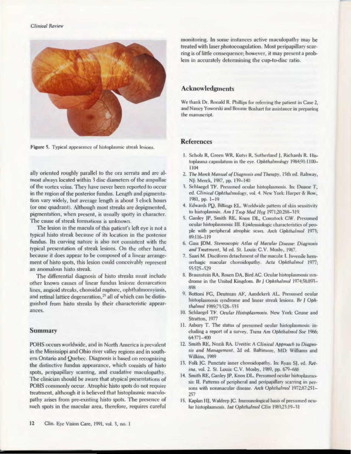

Figure 5. Typical appearance of histoplasmic streak lesions.

ally oriented roughly parallel to the ora serrata and are almost always located within 3 disc diameters of the ampullae of the vortex veins. They have never been reported to occur in the region of the posterior fundus. Length and pigmentation vary widely, but average length is about 3 clock hours (or one quadrant). Although most streaks are depigmented, pigmentation, when present, is usually spotty in character. The cause of streak formations is unknown.

The lesion in the macula of this patient's left eye is not a typical histo streak because of its location in the posterior fundus. Its curving nature is also not consistent with the typical presentation of streak lesions. On the other hand, because it does appear to be composed of a linear arrangement of histo spots, this lesion could conceivably represent an anomalous histo streak.

The differential diagnosis of histo streaks must include other known causes of linear fundus lesions: demarcation lines, angioid streaks, choroidal rupture, ophthalmomyiasis, and retinal lattice degeneration,<sup>25</sup> all of which can be distinguished from histo streaks by their characteristic appearances.

#### **Summary**

POHS occurs worldwide, and in North America is prevalent in the Mississippi and Ohio river valley regions and in southern Ontario and Quebec. Diagnosis is based on recognizing the distinctive fundus appearance, which consists of histo spots, peripapillary scarring, and exudative maculopathy. The clinician should be aware that atypical presentations of POHS commonly occur. Atrophic histo spots do not require treatment, although it is believed that histoplasmic maculopathy arises from pre-existing histo spots. The presence of such spots in the macular area, therefore, requires careful

monitoring. In some instances active maculopathy may be treated with laser photocoagulation. Most peripapillary scarring is of little consequence; however, it may present a problem in accurately determining the cup-to-disc ratio.

## **Acknowledgments**

We thank Dr. Ronald R. Phillips for referring the patient in Case 2. and Nancy Yoworski and Bonnie Boshart for assistance in preparing the manuscript.

#### **References**

- 1. Scholz R, Green WR, Kutys R, Sutherland J, Richards R. Histoplasma capsulatum in the eye. Ophthalmology 1984;91:1100-1104
- 2. The Merck Manual of Diagnosis and Therapy, 15th ed. Rahway, NJ: Merck, 1987, pp. 139-140
- 3. Schlaegel TF. Presumed ocular histoplasmosis. In: Duane T, ed. Clinical Ophthalmology, vol. 4. New York: Harper & Row, 1981, pp. 1-19
- 4. Edwards PQ, Billings EL. Worldwide pattern of skin sensitivity to histoplasmin. Am J Trop Med Hyg 1971;20:288-319.
- 5. Ganley JP, Smith RE, Knox DL, Comstock GW. Presumed ocular histoplasmosis: III. Epidemiologic characteristics of people with peripheral atrophic scars. Arch Ophthalmol 1973; 89:116-119
- 6. Gass JDM. Stereoscopic Atlas of Macular Disease: Diagnosis and Treatment, 3d ed. St. Louis: C.V. Mosby, 1987.
- 7. Saari M. Disciform detachment of the macula: I. Juvenile hemorrhagic macular choroidopathy. Acta Ophthalmol 1977; 55:525-529
- 8. Braunstein RA, Rosen DA, Bird AC. Ocular histoplasmosis syndrome in the United Kingdom. Br J Ophthalmol 1974;58:893- $RQR$
- 9. Bottoni FG, Deutman AF, Aandekerk AL. Presumed ocular histoplasmosis syndrome and linear streak lesions. Br J Ophthalmol 1989;73:528-535
- 10. Schlaegel TF. Ocular Histoplasmosis. New York: Grune and Stratton, 1977
- 11. Asbury T. The status of presumed ocular histoplasmosis: including a report of a survey. Trans Am Ophthalmol Soc 1966; 64:371-400
- 12. Smith RE, Nozik RA. Uveitis: A Clinical Approach to Diagnosis and Management, 2d ed. Baltimore, MD: Williams and Wilkins, 1989
- 13. Folk JC. Punctate inner choroidopathy. In: Ryan SJ, ed. Retina, vol. 2. St. Louis: C.V. Mosby, 1989, pp. 679-686
- 14. Smith RE, Ganley JP, Knox DL. Presumed ocular histoplasmosis: II. Patterns of peripheral and peripapillary scarring in persons with nonmacular disease. Arch Ophthalmol 1972;87:251-257
- 15. Kaplan IIJ, Waldrep JC. Immunological basis of presumed ocular histoplasmosis. Int Ophthalmol Clin 1983;23:19-31